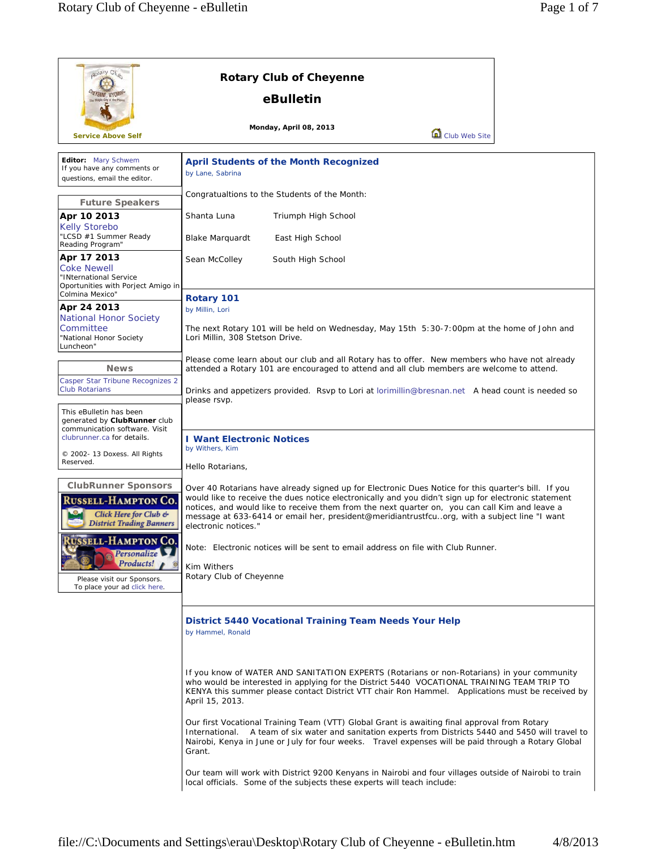| potary Club                                                                                                                                                          | <b>Rotary Club of Cheyenne</b>                                                                                                                                                                                                                                                                                                                                                                                                        |  |  |
|----------------------------------------------------------------------------------------------------------------------------------------------------------------------|---------------------------------------------------------------------------------------------------------------------------------------------------------------------------------------------------------------------------------------------------------------------------------------------------------------------------------------------------------------------------------------------------------------------------------------|--|--|
|                                                                                                                                                                      | eBulletin                                                                                                                                                                                                                                                                                                                                                                                                                             |  |  |
| <b>Service Above Self</b>                                                                                                                                            | Monday, April 08, 2013<br>Club Web Site                                                                                                                                                                                                                                                                                                                                                                                               |  |  |
| Editor: Mary Schwem<br>If you have any comments or<br>questions, email the editor.                                                                                   | <b>April Students of the Month Recognized</b><br>by Lane, Sabrina                                                                                                                                                                                                                                                                                                                                                                     |  |  |
| <b>Future Speakers</b>                                                                                                                                               | Congratualtions to the Students of the Month:                                                                                                                                                                                                                                                                                                                                                                                         |  |  |
| Apr 10 2013<br><b>Kelly Storebo</b><br>"LCSD #1 Summer Ready<br>Reading Program"                                                                                     | Shanta Luna<br>Triumph High School<br><b>Blake Marquardt</b><br>East High School                                                                                                                                                                                                                                                                                                                                                      |  |  |
| Apr 17 2013<br><b>Coke Newell</b><br>"INternational Service<br>Oportunities with Porject Amigo in                                                                    | Sean McColley<br>South High School                                                                                                                                                                                                                                                                                                                                                                                                    |  |  |
| Colmina Mexico"<br>Apr 24 2013<br><b>National Honor Society</b><br>Committee                                                                                         | Rotary 101<br>by Millin, Lori<br>The next Rotary 101 will be held on Wednesday, May 15th 5:30-7:00pm at the home of John and                                                                                                                                                                                                                                                                                                          |  |  |
| "National Honor Society<br>Luncheon"<br><b>News</b>                                                                                                                  | Lori Millin, 308 Stetson Drive.<br>Please come learn about our club and all Rotary has to offer. New members who have not already<br>attended a Rotary 101 are encouraged to attend and all club members are welcome to attend.<br>Drinks and appetizers provided. Rsvp to Lori at lorimillin@bresnan.net A head count is needed so<br>please rsvp.<br><b>I Want Electronic Notices</b><br>by Withers, Kim<br>Hello Rotarians,        |  |  |
| Casper Star Tribune Recognizes 2<br><b>Club Rotarians</b>                                                                                                            |                                                                                                                                                                                                                                                                                                                                                                                                                                       |  |  |
| This eBulletin has been<br>generated by ClubRunner club<br>communication software. Visit<br>clubrunner.ca for details.<br>© 2002- 13 Doxess. All Rights<br>Reserved. |                                                                                                                                                                                                                                                                                                                                                                                                                                       |  |  |
| <b>ClubRunner Sponsors</b><br><b>RUSSELL-HAMPTON CO.</b><br>Click Here for Club &<br><b>District Trading Banners</b>                                                 | Over 40 Rotarians have already signed up for Electronic Dues Notice for this quarter's bill. If you<br>would like to receive the dues notice electronically and you didn't sign up for electronic statement<br>notices, and would like to receive them from the next quarter on, you can call Kim and leave a<br>message at 633-6414 or email her, president@meridiantrustfcuorg, with a subject line "I want<br>electronic notices." |  |  |
| <b>RUSSELL-HAMPTON CO.</b><br>Personalize<br>Products!<br>Please visit our Sponsors.<br>To place your ad click here.                                                 | Note: Electronic notices will be sent to email address on file with Club Runner.<br>Kim Withers<br>Rotary Club of Cheyenne                                                                                                                                                                                                                                                                                                            |  |  |
|                                                                                                                                                                      | District 5440 Vocational Training Team Needs Your Help<br>by Hammel, Ronald                                                                                                                                                                                                                                                                                                                                                           |  |  |
|                                                                                                                                                                      | If you know of WATER AND SANITATION EXPERTS (Rotarians or non-Rotarians) in your community<br>who would be interested in applying for the District 5440 VOCATIONAL TRAINING TEAM TRIP TO<br>KENYA this summer please contact District VTT chair Ron Hammel. Applications must be received by<br>April 15, 2013.                                                                                                                       |  |  |
|                                                                                                                                                                      | Our first Vocational Training Team (VTT) Global Grant is awaiting final approval from Rotary<br>A team of six water and sanitation experts from Districts 5440 and 5450 will travel to<br>International.<br>Nairobi, Kenya in June or July for four weeks. Travel expenses will be paid through a Rotary Global<br>Grant.                                                                                                             |  |  |
|                                                                                                                                                                      | Our team will work with District 9200 Kenyans in Nairobi and four villages outside of Nairobi to train<br>local officials. Some of the subjects these experts will teach include:                                                                                                                                                                                                                                                     |  |  |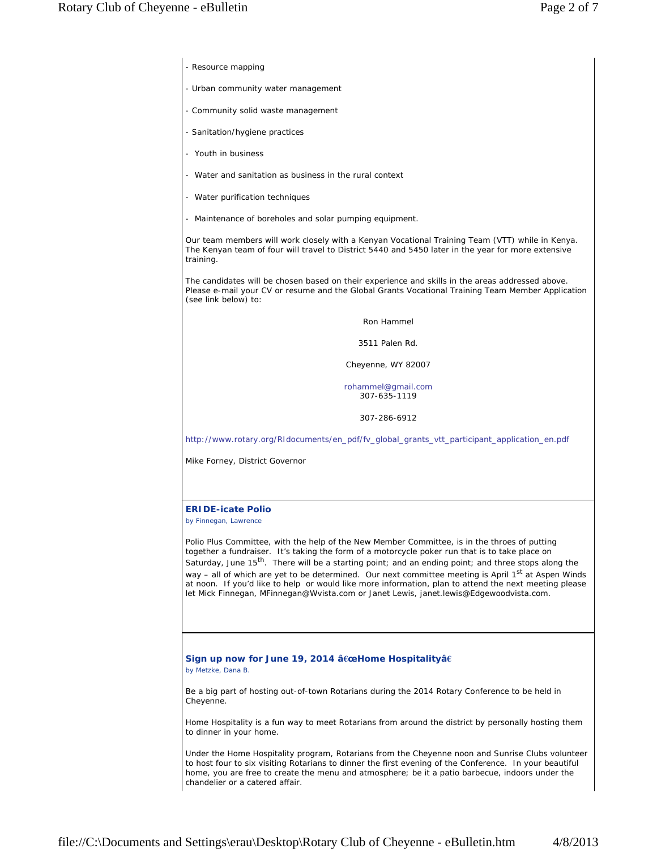- Resource mapping
- Urban community water management
- Community solid waste management
- Sanitation/hygiene practices
- Youth in business
- Water and sanitation as business in the rural context
- Water purification techniques
- Maintenance of boreholes and solar pumping equipment.

Our team members will work closely with a Kenyan Vocational Training Team (VTT) while in Kenya. The Kenyan team of four will travel to District 5440 and 5450 later in the year for more extensive training.

The candidates will be chosen based on their experience and skills in the areas addressed above. Please e-mail your CV or resume and the Global Grants Vocational Training Team Member Application (see link below) to:

## Ron Hammel

3511 Palen Rd.

Cheyenne, WY 82007

rohammel@gmail.com 307-635-1119

307-286-6912

http://www.rotary.org/RIdocuments/en\_pdf/fv\_global\_grants\_vtt\_participant\_application\_en.pdf

Mike Forney, District Governor

## **ERIDE-icate Polio**

*by Finnegan, Lawrence*

Polio Plus Committee, with the help of the New Member Committee, is in the throes of putting together a fundraiser. It's taking the form of a motorcycle poker run that is to take place on Saturday, June  $15<sup>th</sup>$ . There will be a starting point; and an ending point; and three stops along the way – all of which are yet to be determined. Our next committee meeting is April 1<sup>st</sup> at Aspen Winds at noon. If you'd like to help or would like more information, plan to attend the next meeting please let Mick Finnegan, MFinnegan@Wvista.com or Janet Lewis, janet.lewis@Edgewoodvista.com.

## **Sign up now for June 19, 2014 â€œHome Hospitalityâ€**

*by Metzke, Dana B.*

Be a big part of hosting out-of-town Rotarians during the 2014 Rotary Conference to be held in Cheyenne.

Home Hospitality is a fun way to meet Rotarians from around the district by personally hosting them to dinner in your home.

Under the Home Hospitality program, Rotarians from the Cheyenne noon and Sunrise Clubs volunteer to host four to six visiting Rotarians to dinner the first evening of the Conference. In your beautiful home, you are free to create the menu and atmosphere; be it a patio barbecue, indoors under the chandelier or a catered affair.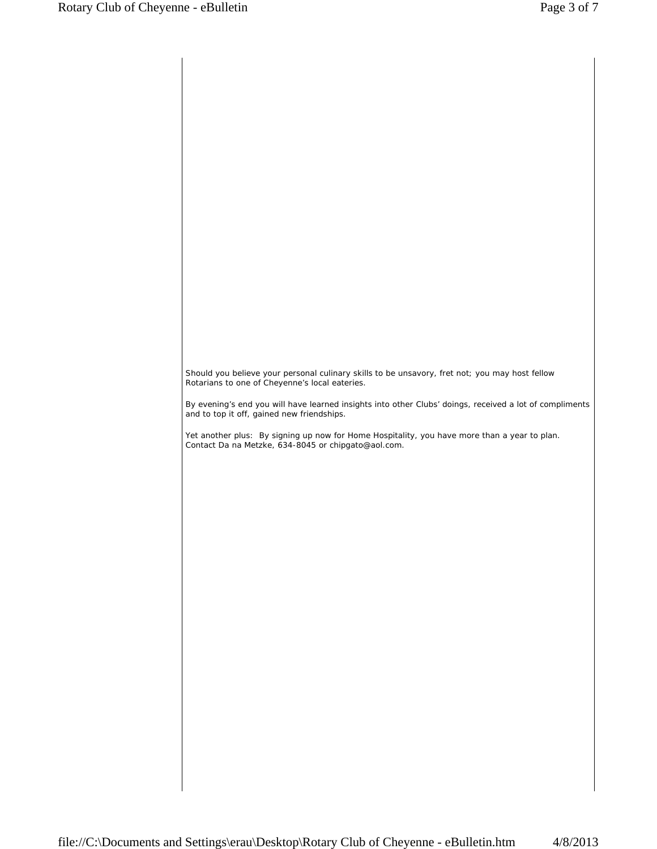Should you believe your personal culinary skills to be unsavory, fret not; you may host fellow Rotarians to one of Cheyenne's local eateries. By evening's end you will have learned insights into other Clubs' doings, received a lot of compliments and to top it off, gained new friendships. Yet another plus: By signing up now for Home Hospitality, you have more than a year to plan. Contact Da na Metzke, 634-8045 or chipgato@aol.com.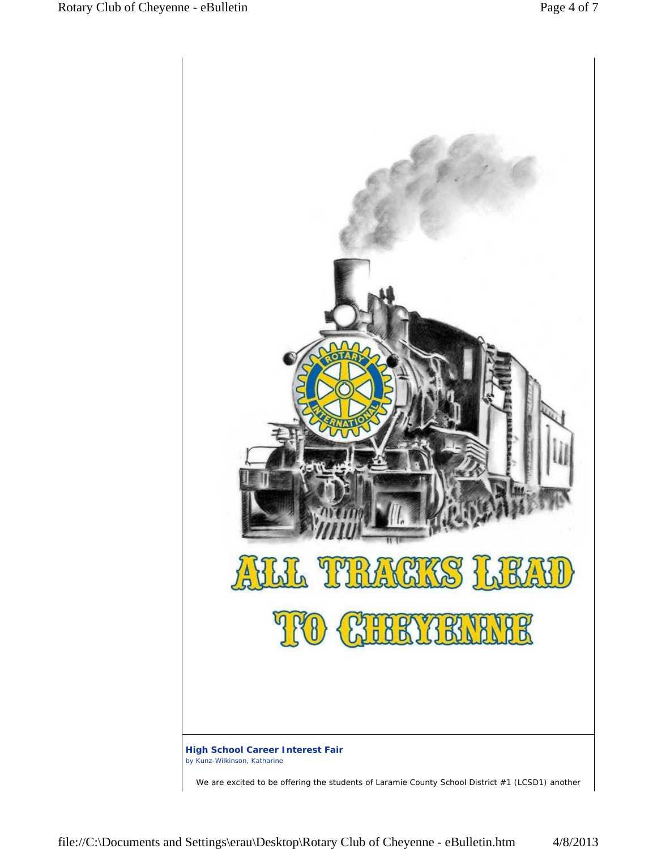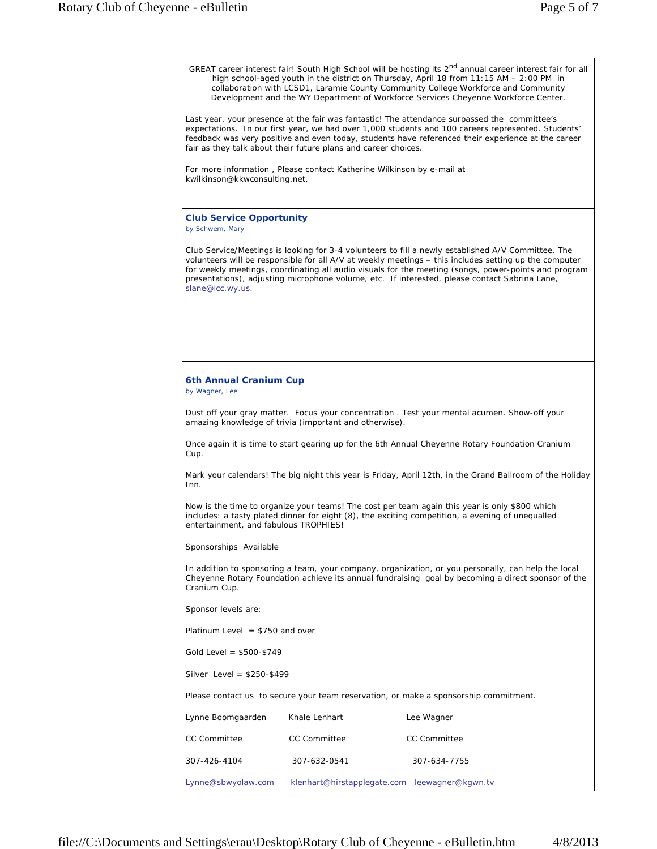GREAT career interest fair! South High School will be hosting its 2<sup>nd</sup> annual career interest fair for all high school-aged youth in the district on Thursday, April 18 from 11:15 AM – 2:00 PM in collaboration with LCSD1, Laramie County Community College Workforce and Community Development and the WY Department of Workforce Services Cheyenne Workforce Center. Last year, your presence at the fair was fantastic! The attendance surpassed the committee's expectations. In our first year, we had over 1,000 students and 100 careers represented. Students' feedback was very positive and even today, students have referenced their experience at the career fair as they talk about their future plans and career choices. For more information , Please contact Katherine Wilkinson by e-mail at kwilkinson@kkwconsulting.net. **Club Service Opportunity** *by Schwem, Mary* Club Service/Meetings is looking for 3-4 volunteers to fill a newly established A/V Committee. The volunteers will be responsible for all A/V at weekly meetings – this includes setting up the computer for weekly meetings, coordinating all audio visuals for the meeting (songs, power-points and program presentations), adjusting microphone volume, etc. If interested, please contact Sabrina Lane, slane@lcc.wy.us. **6th Annual Cranium Cup** *by Wagner, Lee* Dust off your gray matter. Focus your concentration . Test your mental acumen. Show-off your amazing knowledge of trivia (important and otherwise). Once again it is time to start gearing up for the 6th Annual Cheyenne Rotary Foundation Cranium Cup. Mark your calendars! The big night this year is Friday, April 12th, in the Grand Ballroom of the Holiday Inn. Now is the time to organize your teams! The cost per team again this year is only \$800 which includes: a tasty plated dinner for eight (8), the exciting competition, a evening of unequalled entertainment, and fabulous TROPHIES! Sponsorships Available In addition to sponsoring a team, your company, organization, or you personally, can help the local Cheyenne Rotary Foundation achieve its annual fundraising goal by becoming a direct sponsor of the Cranium Cup. Sponsor levels are: Platinum Level  $= $750$  and over Gold Level = \$500-\$749 Silver Level = \$250-\$499 Please contact us to secure your team reservation, or make a sponsorship commitment. Lynne Boomgaarden Khale Lenhart The Lee Wagner CC Committee CC Committee CC Committee 307-426-4104 307-632-0541 307-634-7755

Lynne@sbwyolaw.com klenhart@hirstapplegate.com leewagner@kgwn.tv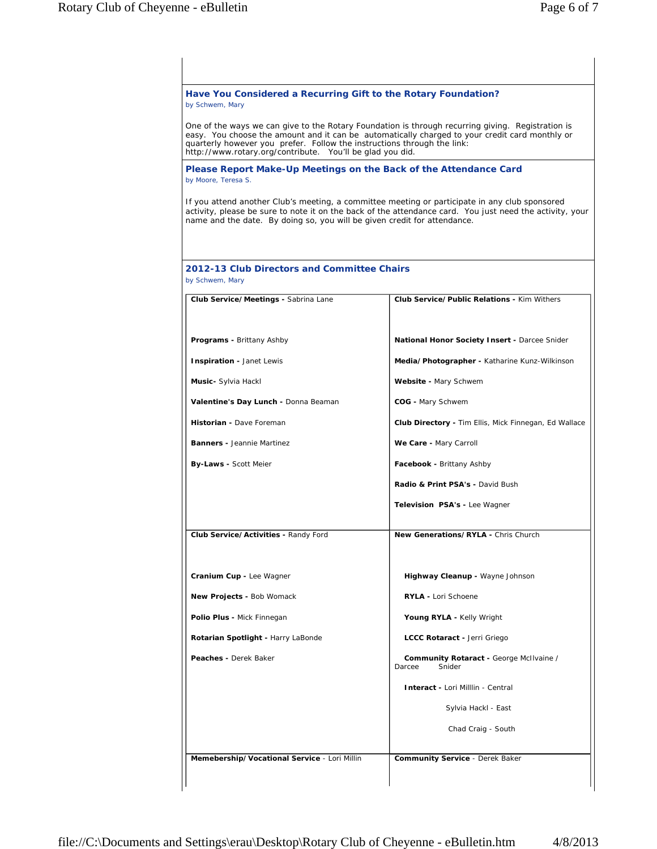| Have You Considered a Recurring Gift to the Rotary Foundation?<br>by Schwem, Mary                                                    |                                                                                                                                                                                                            |
|--------------------------------------------------------------------------------------------------------------------------------------|------------------------------------------------------------------------------------------------------------------------------------------------------------------------------------------------------------|
| quarterly however you prefer. Follow the instructions through the link:<br>http://www.rotary.org/contribute. You'll be glad you did. | One of the ways we can give to the Rotary Foundation is through recurring giving. Registration is<br>easy. You choose the amount and it can be automatically charged to your credit card monthly or        |
| Please Report Make-Up Meetings on the Back of the Attendance Card<br>by Moore, Teresa S.                                             |                                                                                                                                                                                                            |
| name and the date. By doing so, you will be given credit for attendance.                                                             | If you attend another Club's meeting, a committee meeting or participate in any club sponsored<br>activity, please be sure to note it on the back of the attendance card. You just need the activity, your |
| 2012-13 Club Directors and Committee Chairs<br>by Schwem, Mary                                                                       |                                                                                                                                                                                                            |
| Club Service/Meetings - Sabrina Lane                                                                                                 | <b>Club Service/Public Relations - Kim Withers</b>                                                                                                                                                         |
| <b>Programs - Brittany Ashby</b>                                                                                                     | <b>National Honor Society Insert - Darcee Snider</b>                                                                                                                                                       |
| Inspiration - Janet Lewis                                                                                                            | Media/Photographer - Katharine Kunz-Wilkinson                                                                                                                                                              |
| Music- Sylvia Hackl                                                                                                                  | Website - Mary Schwem                                                                                                                                                                                      |
| Valentine's Day Lunch - Donna Beaman                                                                                                 | COG - Mary Schwem                                                                                                                                                                                          |
| Historian - Dave Foreman                                                                                                             | <b>Club Directory - Tim Ellis, Mick Finnegan, Ed Wallace</b>                                                                                                                                               |
| <b>Banners - Jeannie Martinez</b>                                                                                                    | We Care - Mary Carroll                                                                                                                                                                                     |
| <b>By-Laws - Scott Meier</b>                                                                                                         | Facebook - Brittany Ashby                                                                                                                                                                                  |
|                                                                                                                                      | Radio & Print PSA's - David Bush                                                                                                                                                                           |
|                                                                                                                                      | Television PSA's - Lee Wagner                                                                                                                                                                              |
| Club Service/Activities - Randy Ford                                                                                                 | New Generations/RYLA - Chris Church                                                                                                                                                                        |
| Cranium Cup - Lee Wagner                                                                                                             | Highway Cleanup - Wayne Johnson                                                                                                                                                                            |
| New Projects - Bob Womack                                                                                                            | <b>RYLA - Lori Schoene</b>                                                                                                                                                                                 |
| Polio Plus - Mick Finnegan                                                                                                           | Young RYLA - Kelly Wright                                                                                                                                                                                  |
| Rotarian Spotlight - Harry LaBonde                                                                                                   | LCCC Rotaract - Jerri Griego                                                                                                                                                                               |
| Peaches - Derek Baker                                                                                                                | Community Rotaract - George McIlvaine /<br>Snider<br>Darcee                                                                                                                                                |
|                                                                                                                                      | Interact - Lori Milllin - Central                                                                                                                                                                          |
|                                                                                                                                      | Sylvia Hackl - East                                                                                                                                                                                        |
|                                                                                                                                      | Chad Craig - South                                                                                                                                                                                         |
| Memebership/Vocational Service - Lori Millin                                                                                         |                                                                                                                                                                                                            |